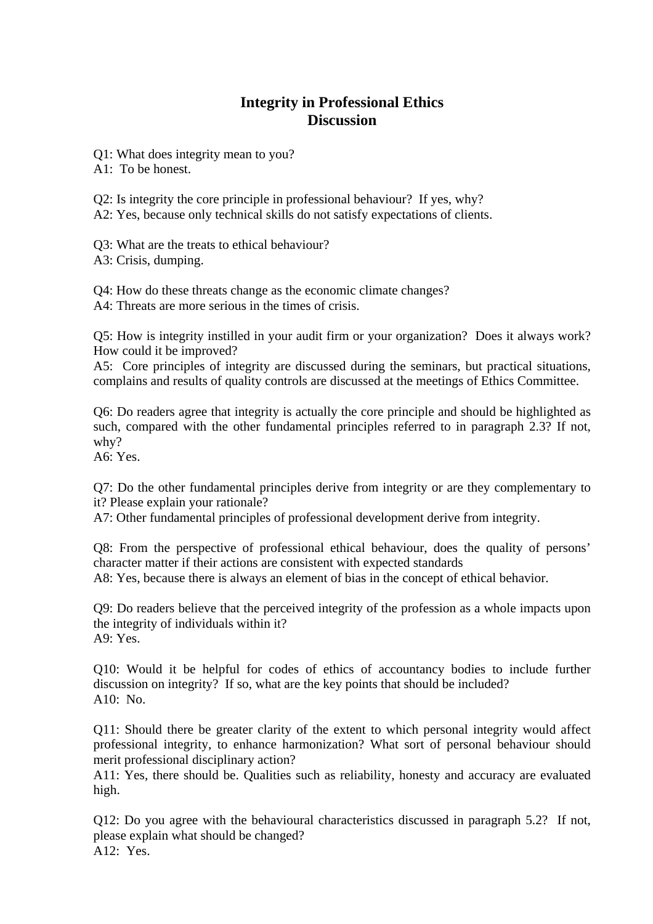## **Integrity in Professional Ethics Discussion**

Q1: What does integrity mean to you?

A1: To be honest.

Q2: Is integrity the core principle in professional behaviour? If yes, why?

A2: Yes, because only technical skills do not satisfy expectations of clients.

Q3: What are the treats to ethical behaviour? A3: Crisis, dumping.

Q4: How do these threats change as the economic climate changes? A4: Threats are more serious in the times of crisis.

Q5: How is integrity instilled in your audit firm or your organization? Does it always work? How could it be improved?

A5: Core principles of integrity are discussed during the seminars, but practical situations, complains and results of quality controls are discussed at the meetings of Ethics Committee.

Q6: Do readers agree that integrity is actually the core principle and should be highlighted as such, compared with the other fundamental principles referred to in paragraph 2.3? If not, why?

A6: Yes.

Q7: Do the other fundamental principles derive from integrity or are they complementary to it? Please explain your rationale?

A7: Other fundamental principles of professional development derive from integrity.

Q8: From the perspective of professional ethical behaviour, does the quality of persons' character matter if their actions are consistent with expected standards A8: Yes, because there is always an element of bias in the concept of ethical behavior.

Q9: Do readers believe that the perceived integrity of the profession as a whole impacts upon the integrity of individuals within it? A9: Yes.

Q10: Would it be helpful for codes of ethics of accountancy bodies to include further discussion on integrity? If so, what are the key points that should be included? A10: No.

Q11: Should there be greater clarity of the extent to which personal integrity would affect professional integrity, to enhance harmonization? What sort of personal behaviour should merit professional disciplinary action?

A11: Yes, there should be. Qualities such as reliability, honesty and accuracy are evaluated high.

Q12: Do you agree with the behavioural characteristics discussed in paragraph 5.2? If not, please explain what should be changed?  $A12: Yes.$